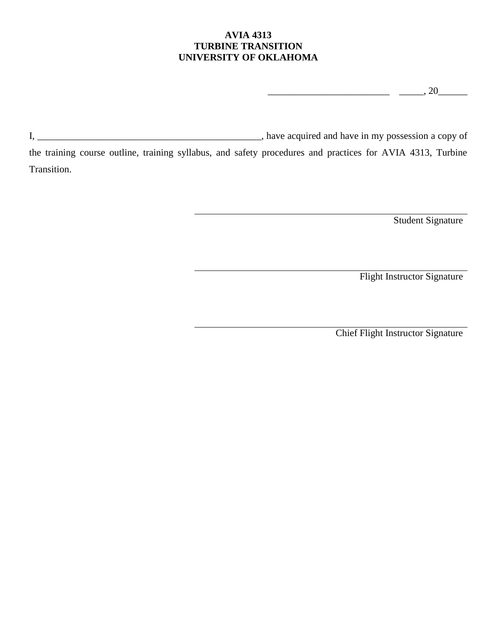#### **AVIA 4313 TURBINE TRANSITION UNIVERSITY OF OKLAHOMA**

 $\frac{1}{\sqrt{1-\frac{1}{2}}}\quad \frac{1}{\sqrt{1-\frac{1}{2}}}\quad \frac{1}{\sqrt{1-\frac{1}{2}}}\quad \frac{1}{\sqrt{1-\frac{1}{2}}}\quad \frac{1}{\sqrt{1-\frac{1}{2}}}\quad \frac{1}{\sqrt{1-\frac{1}{2}}}\quad \frac{1}{\sqrt{1-\frac{1}{2}}}\quad \frac{1}{\sqrt{1-\frac{1}{2}}}\quad \frac{1}{\sqrt{1-\frac{1}{2}}}\quad \frac{1}{\sqrt{1-\frac{1}{2}}}\quad \frac{1}{\sqrt{1-\frac{1}{2}}}\quad \frac{1}{\sqrt{1-\frac{1}{2}}}\quad \frac{1$ 

I, \_\_\_\_\_\_\_\_\_\_\_\_\_\_\_\_\_\_\_\_\_\_\_\_\_\_\_\_\_\_\_\_\_\_\_\_\_\_\_\_\_\_\_\_\_\_, have acquired and have in my possession a copy of

the training course outline, training syllabus, and safety procedures and practices for AVIA 4313, Turbine Transition.

Student Signature

Flight Instructor Signature

Chief Flight Instructor Signature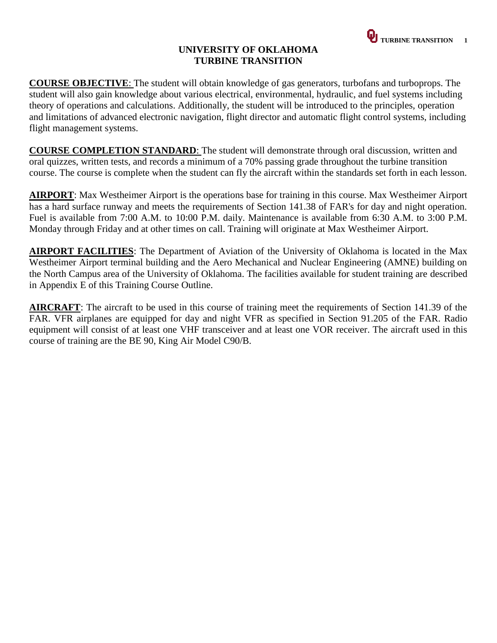#### **UNIVERSITY OF OKLAHOMA TURBINE TRANSITION**

**COURSE OBJECTIVE**: The student will obtain knowledge of gas generators, turbofans and turboprops. The student will also gain knowledge about various electrical, environmental, hydraulic, and fuel systems including theory of operations and calculations. Additionally, the student will be introduced to the principles, operation and limitations of advanced electronic navigation, flight director and automatic flight control systems, including flight management systems.

**COURSE COMPLETION STANDARD**: The student will demonstrate through oral discussion, written and oral quizzes, written tests, and records a minimum of a 70% passing grade throughout the turbine transition course. The course is complete when the student can fly the aircraft within the standards set forth in each lesson.

**AIRPORT**: Max Westheimer Airport is the operations base for training in this course. Max Westheimer Airport has a hard surface runway and meets the requirements of Section 141.38 of FAR's for day and night operation. Fuel is available from 7:00 A.M. to 10:00 P.M. daily. Maintenance is available from 6:30 A.M. to 3:00 P.M. Monday through Friday and at other times on call. Training will originate at Max Westheimer Airport.

**AIRPORT FACILITIES**: The Department of Aviation of the University of Oklahoma is located in the Max Westheimer Airport terminal building and the Aero Mechanical and Nuclear Engineering (AMNE) building on the North Campus area of the University of Oklahoma. The facilities available for student training are described in Appendix E of this Training Course Outline.

**AIRCRAFT**: The aircraft to be used in this course of training meet the requirements of Section 141.39 of the FAR. VFR airplanes are equipped for day and night VFR as specified in Section 91.205 of the FAR. Radio equipment will consist of at least one VHF transceiver and at least one VOR receiver. The aircraft used in this course of training are the BE 90, King Air Model C90/B.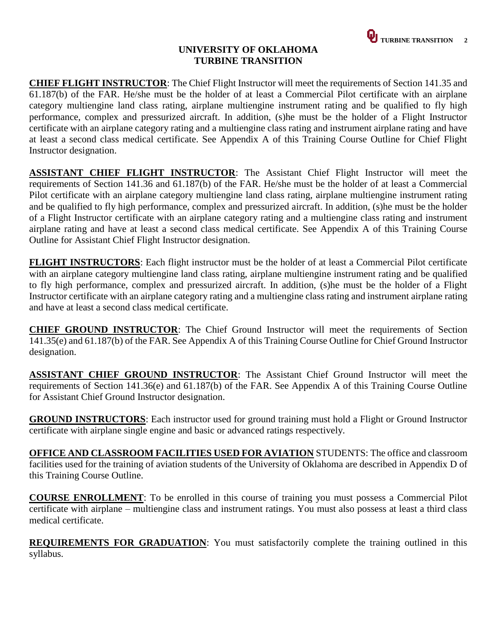#### **UNIVERSITY OF OKLAHOMA TURBINE TRANSITION**

**CHIEF FLIGHT INSTRUCTOR**: The Chief Flight Instructor will meet the requirements of Section 141.35 and 61.187(b) of the FAR. He/she must be the holder of at least a Commercial Pilot certificate with an airplane category multiengine land class rating, airplane multiengine instrument rating and be qualified to fly high performance, complex and pressurized aircraft. In addition, (s)he must be the holder of a Flight Instructor certificate with an airplane category rating and a multiengine class rating and instrument airplane rating and have at least a second class medical certificate. See Appendix A of this Training Course Outline for Chief Flight Instructor designation.

**ASSISTANT CHIEF FLIGHT INSTRUCTOR**: The Assistant Chief Flight Instructor will meet the requirements of Section 141.36 and 61.187(b) of the FAR. He/she must be the holder of at least a Commercial Pilot certificate with an airplane category multiengine land class rating, airplane multiengine instrument rating and be qualified to fly high performance, complex and pressurized aircraft. In addition, (s)he must be the holder of a Flight Instructor certificate with an airplane category rating and a multiengine class rating and instrument airplane rating and have at least a second class medical certificate. See Appendix A of this Training Course Outline for Assistant Chief Flight Instructor designation.

**FLIGHT INSTRUCTORS**: Each flight instructor must be the holder of at least a Commercial Pilot certificate with an airplane category multiengine land class rating, airplane multiengine instrument rating and be qualified to fly high performance, complex and pressurized aircraft. In addition, (s)he must be the holder of a Flight Instructor certificate with an airplane category rating and a multiengine class rating and instrument airplane rating and have at least a second class medical certificate.

**CHIEF GROUND INSTRUCTOR**: The Chief Ground Instructor will meet the requirements of Section 141.35(e) and 61.187(b) of the FAR. See Appendix A of this Training Course Outline for Chief Ground Instructor designation.

**ASSISTANT CHIEF GROUND INSTRUCTOR**: The Assistant Chief Ground Instructor will meet the requirements of Section 141.36(e) and 61.187(b) of the FAR. See Appendix A of this Training Course Outline for Assistant Chief Ground Instructor designation.

**GROUND INSTRUCTORS**: Each instructor used for ground training must hold a Flight or Ground Instructor certificate with airplane single engine and basic or advanced ratings respectively.

**OFFICE AND CLASSROOM FACILITIES USED FOR AVIATION** STUDENTS: The office and classroom facilities used for the training of aviation students of the University of Oklahoma are described in Appendix D of this Training Course Outline.

**COURSE ENROLLMENT**: To be enrolled in this course of training you must possess a Commercial Pilot certificate with airplane – multiengine class and instrument ratings. You must also possess at least a third class medical certificate.

**REQUIREMENTS FOR GRADUATION**: You must satisfactorily complete the training outlined in this syllabus.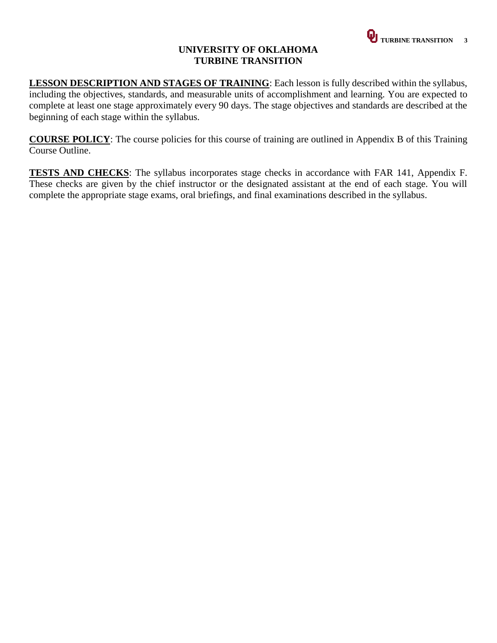# **Q** TURBINE TRANSITION 3

#### **UNIVERSITY OF OKLAHOMA TURBINE TRANSITION**

**LESSON DESCRIPTION AND STAGES OF TRAINING**: Each lesson is fully described within the syllabus, including the objectives, standards, and measurable units of accomplishment and learning. You are expected to complete at least one stage approximately every 90 days. The stage objectives and standards are described at the beginning of each stage within the syllabus.

**COURSE POLICY**: The course policies for this course of training are outlined in Appendix B of this Training Course Outline.

**TESTS AND CHECKS**: The syllabus incorporates stage checks in accordance with FAR 141, Appendix F. These checks are given by the chief instructor or the designated assistant at the end of each stage. You will complete the appropriate stage exams, oral briefings, and final examinations described in the syllabus.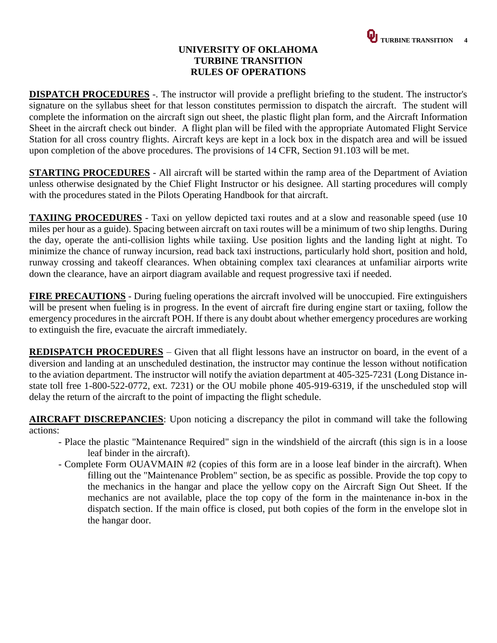#### **UNIVERSITY OF OKLAHOMA TURBINE TRANSITION RULES OF OPERATIONS**

**DISPATCH PROCEDURES** -. The instructor will provide a preflight briefing to the student. The instructor's signature on the syllabus sheet for that lesson constitutes permission to dispatch the aircraft. The student will complete the information on the aircraft sign out sheet, the plastic flight plan form, and the Aircraft Information Sheet in the aircraft check out binder. A flight plan will be filed with the appropriate Automated Flight Service Station for all cross country flights. Aircraft keys are kept in a lock box in the dispatch area and will be issued upon completion of the above procedures. The provisions of 14 CFR, Section 91.103 will be met.

**STARTING PROCEDURES** - All aircraft will be started within the ramp area of the Department of Aviation unless otherwise designated by the Chief Flight Instructor or his designee. All starting procedures will comply with the procedures stated in the Pilots Operating Handbook for that aircraft.

**TAXIING PROCEDURES** - Taxi on yellow depicted taxi routes and at a slow and reasonable speed (use 10 miles per hour as a guide). Spacing between aircraft on taxi routes will be a minimum of two ship lengths. During the day, operate the anti-collision lights while taxiing. Use position lights and the landing light at night. To minimize the chance of runway incursion, read back taxi instructions, particularly hold short, position and hold, runway crossing and takeoff clearances. When obtaining complex taxi clearances at unfamiliar airports write down the clearance, have an airport diagram available and request progressive taxi if needed.

**FIRE PRECAUTIONS** - During fueling operations the aircraft involved will be unoccupied. Fire extinguishers will be present when fueling is in progress. In the event of aircraft fire during engine start or taxiing, follow the emergency procedures in the aircraft POH. If there is any doubt about whether emergency procedures are working to extinguish the fire, evacuate the aircraft immediately.

**REDISPATCH PROCEDURES** – Given that all flight lessons have an instructor on board, in the event of a diversion and landing at an unscheduled destination, the instructor may continue the lesson without notification to the aviation department. The instructor will notify the aviation department at 405-325-7231 (Long Distance instate toll free 1-800-522-0772, ext. 7231) or the OU mobile phone 405-919-6319, if the unscheduled stop will delay the return of the aircraft to the point of impacting the flight schedule.

**AIRCRAFT DISCREPANCIES**: Upon noticing a discrepancy the pilot in command will take the following actions:

- Place the plastic "Maintenance Required" sign in the windshield of the aircraft (this sign is in a loose leaf binder in the aircraft).
- Complete Form OUAVMAIN #2 (copies of this form are in a loose leaf binder in the aircraft). When filling out the "Maintenance Problem" section, be as specific as possible. Provide the top copy to the mechanics in the hangar and place the yellow copy on the Aircraft Sign Out Sheet. If the mechanics are not available, place the top copy of the form in the maintenance in-box in the dispatch section. If the main office is closed, put both copies of the form in the envelope slot in the hangar door.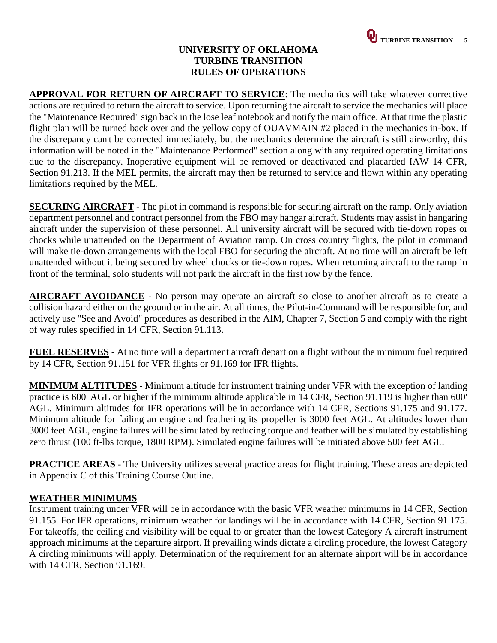# **UNIVERSITY OF OKLAHOMA TURBINE TRANSITION RULES OF OPERATIONS**

**APPROVAL FOR RETURN OF AIRCRAFT TO SERVICE**: The mechanics will take whatever corrective actions are required to return the aircraft to service. Upon returning the aircraft to service the mechanics will place the "Maintenance Required" sign back in the lose leaf notebook and notify the main office. At that time the plastic flight plan will be turned back over and the yellow copy of OUAVMAIN #2 placed in the mechanics in-box. If the discrepancy can't be corrected immediately, but the mechanics determine the aircraft is still airworthy, this information will be noted in the "Maintenance Performed" section along with any required operating limitations due to the discrepancy. Inoperative equipment will be removed or deactivated and placarded IAW 14 CFR, Section 91.213. If the MEL permits, the aircraft may then be returned to service and flown within any operating limitations required by the MEL.

**SECURING AIRCRAFT** - The pilot in command is responsible for securing aircraft on the ramp. Only aviation department personnel and contract personnel from the FBO may hangar aircraft. Students may assist in hangaring aircraft under the supervision of these personnel. All university aircraft will be secured with tie-down ropes or chocks while unattended on the Department of Aviation ramp. On cross country flights, the pilot in command will make tie-down arrangements with the local FBO for securing the aircraft. At no time will an aircraft be left unattended without it being secured by wheel chocks or tie-down ropes. When returning aircraft to the ramp in front of the terminal, solo students will not park the aircraft in the first row by the fence.

**AIRCRAFT AVOIDANCE** - No person may operate an aircraft so close to another aircraft as to create a collision hazard either on the ground or in the air. At all times, the Pilot-in-Command will be responsible for, and actively use "See and Avoid" procedures as described in the AIM, Chapter 7, Section 5 and comply with the right of way rules specified in 14 CFR, Section 91.113.

**FUEL RESERVES** - At no time will a department aircraft depart on a flight without the minimum fuel required by 14 CFR, Section 91.151 for VFR flights or 91.169 for IFR flights.

**MINIMUM ALTITUDES** - Minimum altitude for instrument training under VFR with the exception of landing practice is 600' AGL or higher if the minimum altitude applicable in 14 CFR, Section 91.119 is higher than 600' AGL. Minimum altitudes for IFR operations will be in accordance with 14 CFR, Sections 91.175 and 91.177. Minimum altitude for failing an engine and feathering its propeller is 3000 feet AGL. At altitudes lower than 3000 feet AGL, engine failures will be simulated by reducing torque and feather will be simulated by establishing zero thrust (100 ft-lbs torque, 1800 RPM). Simulated engine failures will be initiated above 500 feet AGL.

**PRACTICE AREAS** - The University utilizes several practice areas for flight training. These areas are depicted in Appendix C of this Training Course Outline.

# **WEATHER MINIMUMS**

Instrument training under VFR will be in accordance with the basic VFR weather minimums in 14 CFR, Section 91.155. For IFR operations, minimum weather for landings will be in accordance with 14 CFR, Section 91.175. For takeoffs, the ceiling and visibility will be equal to or greater than the lowest Category A aircraft instrument approach minimums at the departure airport. If prevailing winds dictate a circling procedure, the lowest Category A circling minimums will apply. Determination of the requirement for an alternate airport will be in accordance with 14 CFR, Section 91.169.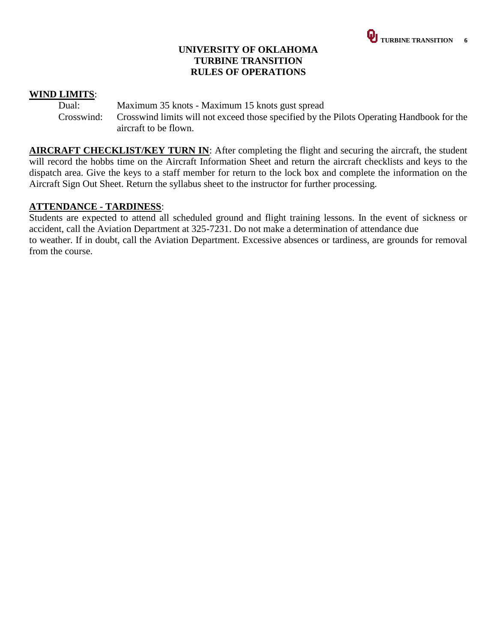#### **UNIVERSITY OF OKLAHOMA TURBINE TRANSITION RULES OF OPERATIONS**

#### **WIND LIMITS**:

Dual: Maximum 35 knots - Maximum 15 knots gust spread Crosswind: Crosswind limits will not exceed those specified by the Pilots Operating Handbook for the aircraft to be flown.

**AIRCRAFT CHECKLIST/KEY TURN IN**: After completing the flight and securing the aircraft, the student will record the hobbs time on the Aircraft Information Sheet and return the aircraft checklists and keys to the dispatch area. Give the keys to a staff member for return to the lock box and complete the information on the Aircraft Sign Out Sheet. Return the syllabus sheet to the instructor for further processing.

#### **ATTENDANCE - TARDINESS**:

Students are expected to attend all scheduled ground and flight training lessons. In the event of sickness or accident, call the Aviation Department at 325-7231. Do not make a determination of attendance due to weather. If in doubt, call the Aviation Department. Excessive absences or tardiness, are grounds for removal from the course.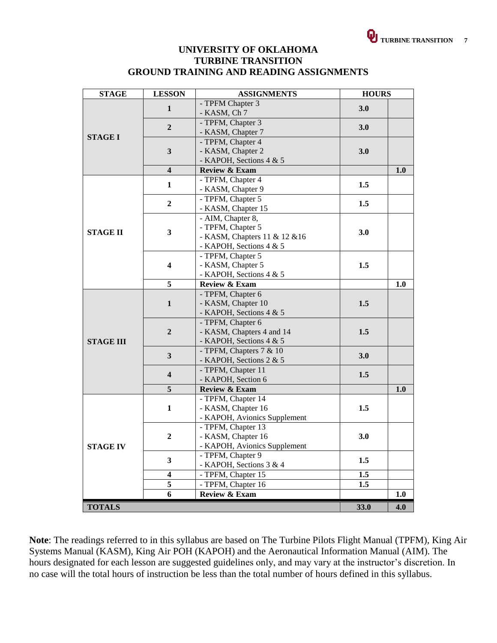#### **UNIVERSITY OF OKLAHOMA TURBINE TRANSITION GROUND TRAINING AND READING ASSIGNMENTS**

| <b>STAGE</b>     | <b>LESSON</b>                           | <b>ASSIGNMENTS</b>                                | <b>HOURS</b> |     |  |
|------------------|-----------------------------------------|---------------------------------------------------|--------------|-----|--|
|                  | $\mathbf{1}$                            | - TPFM Chapter 3                                  | 3.0          |     |  |
|                  |                                         | - KASM, Ch 7                                      |              |     |  |
|                  | $\overline{2}$                          | - TPFM, Chapter 3                                 | 3.0          |     |  |
| <b>STAGE I</b>   |                                         | - KASM, Chapter 7                                 |              |     |  |
|                  |                                         | - TPFM, Chapter 4                                 |              |     |  |
|                  | 3                                       | - KASM, Chapter 2                                 | 3.0          |     |  |
|                  |                                         | - KAPOH, Sections 4 & 5                           |              |     |  |
|                  | $\overline{\mathbf{4}}$                 | Review & Exam                                     |              | 1.0 |  |
|                  | $\mathbf{1}$                            | - TPFM, Chapter 4<br>- KASM, Chapter 9            | 1.5          |     |  |
|                  |                                         |                                                   |              |     |  |
|                  | $\overline{2}$                          | - TPFM, Chapter 5<br>- KASM, Chapter 15           | 1.5          |     |  |
|                  |                                         | - AIM, Chapter 8,                                 |              |     |  |
|                  |                                         | - TPFM, Chapter 5                                 |              |     |  |
| <b>STAGE II</b>  | 3                                       | - KASM, Chapters 11 & 12 & 16                     | 3.0          |     |  |
|                  |                                         | - KAPOH, Sections 4 & 5                           |              |     |  |
|                  |                                         | - TPFM, Chapter 5                                 |              |     |  |
|                  | $\overline{\mathbf{4}}$                 | - KASM, Chapter 5                                 | 1.5          |     |  |
|                  |                                         | - KAPOH, Sections 4 & 5                           |              |     |  |
|                  | 5                                       | Review & Exam                                     |              | 1.0 |  |
|                  | $\mathbf{1}$                            | - TPFM, Chapter 6                                 |              |     |  |
|                  |                                         | - KASM, Chapter 10                                | 1.5          |     |  |
|                  |                                         | - KAPOH, Sections 4 & 5                           |              |     |  |
|                  | $\overline{2}$                          | - TPFM, Chapter 6                                 |              |     |  |
|                  |                                         | - KASM, Chapters 4 and 14                         | 1.5          |     |  |
| <b>STAGE III</b> |                                         | - KAPOH, Sections 4 & 5                           |              |     |  |
|                  | $\mathbf{3}$<br>$\overline{\mathbf{4}}$ | - TPFM, Chapters 7 & 10                           | 3.0          |     |  |
|                  |                                         | - KAPOH, Sections 2 & 5                           |              |     |  |
|                  |                                         | - TPFM, Chapter 11                                | 1.5          |     |  |
|                  |                                         | - KAPOH, Section 6                                |              |     |  |
|                  | 5                                       | Review & Exam                                     |              | 1.0 |  |
|                  |                                         | - TPFM, Chapter 14                                |              |     |  |
|                  | $\mathbf{1}$                            | - KASM, Chapter 16                                | 1.5          |     |  |
|                  |                                         | - KAPOH, Avionics Supplement                      |              |     |  |
|                  | $\boldsymbol{2}$                        | - TPFM, Chapter 13                                |              |     |  |
|                  |                                         | - KASM, Chapter 16                                | 3.0          |     |  |
| <b>STAGE IV</b>  |                                         | - KAPOH, Avionics Supplement<br>- TPFM, Chapter 9 |              |     |  |
|                  | $\mathbf{3}$                            | - KAPOH, Sections 3 & 4                           | 1.5          |     |  |
|                  | $\overline{\mathbf{4}}$                 | - TPFM, Chapter 15                                | 1.5          |     |  |
|                  | 5                                       | - TPFM, Chapter 16                                | 1.5          |     |  |
|                  | 6                                       | Review & Exam                                     |              | 1.0 |  |
|                  |                                         |                                                   |              |     |  |
| <b>TOTALS</b>    |                                         |                                                   | 33.0         | 4.0 |  |

**Note**: The readings referred to in this syllabus are based on The Turbine Pilots Flight Manual (TPFM), King Air Systems Manual (KASM), King Air POH (KAPOH) and the Aeronautical Information Manual (AIM). The hours designated for each lesson are suggested guidelines only, and may vary at the instructor's discretion. In no case will the total hours of instruction be less than the total number of hours defined in this syllabus.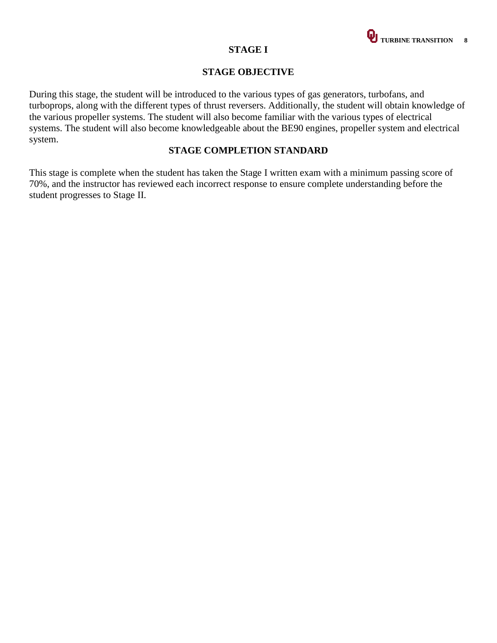

#### **STAGE I**

#### **STAGE OBJECTIVE**

During this stage, the student will be introduced to the various types of gas generators, turbofans, and turboprops, along with the different types of thrust reversers. Additionally, the student will obtain knowledge of the various propeller systems. The student will also become familiar with the various types of electrical systems. The student will also become knowledgeable about the BE90 engines, propeller system and electrical system.

#### **STAGE COMPLETION STANDARD**

This stage is complete when the student has taken the Stage I written exam with a minimum passing score of 70%, and the instructor has reviewed each incorrect response to ensure complete understanding before the student progresses to Stage II.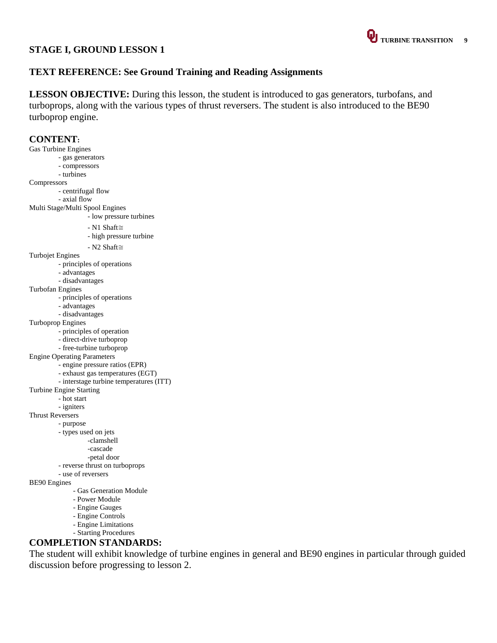#### **TEXT REFERENCE: See Ground Training and Reading Assignments**

**LESSON OBJECTIVE:** During this lesson, the student is introduced to gas generators, turbofans, and turboprops, along with the various types of thrust reversers. The student is also introduced to the BE90 turboprop engine.

#### **CONTENT:**

Gas Turbine Engines - gas generators - compressors - turbines **Compressors** - centrifugal flow - axial flow Multi Stage/Multi Spool Engines - low pressure turbines - N1 Shaft≅ - high pressure turbine - N2 Shaft≅ Turbojet Engines - principles of operations - advantages - disadvantages Turbofan Engines - principles of operations - advantages - disadvantages Turboprop Engines - principles of operation - direct-drive turboprop - free-turbine turboprop Engine Operating Parameters - engine pressure ratios (EPR) - exhaust gas temperatures (EGT) - interstage turbine temperatures (ITT) Turbine Engine Starting - hot start - igniters Thrust Reversers - purpose - types used on jets -clamshell -cascade -petal door - reverse thrust on turboprops - use of reversers BE90 Engines - Gas Generation Module - Power Module - Engine Gauges - Engine Controls - Engine Limitations - Starting Procedures

#### **COMPLETION STANDARDS:**

The student will exhibit knowledge of turbine engines in general and BE90 engines in particular through guided discussion before progressing to lesson 2.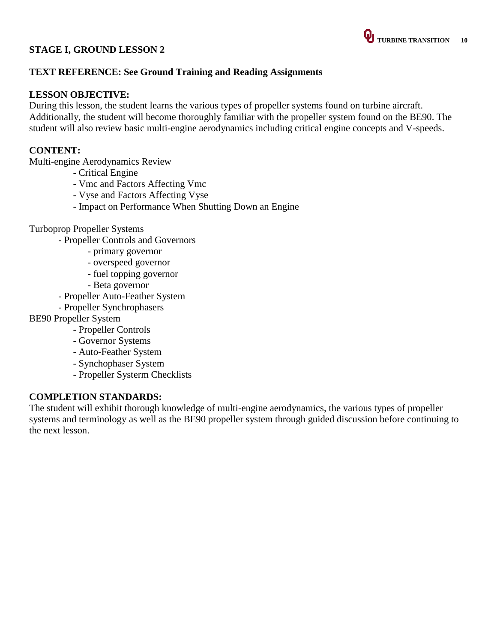# **U** TURBINE TRANSITION 10

# **TEXT REFERENCE: See Ground Training and Reading Assignments**

#### **LESSON OBJECTIVE:**

During this lesson, the student learns the various types of propeller systems found on turbine aircraft. Additionally, the student will become thoroughly familiar with the propeller system found on the BE90. The student will also review basic multi-engine aerodynamics including critical engine concepts and V-speeds.

#### **CONTENT:**

Multi-engine Aerodynamics Review

- Critical Engine
- Vmc and Factors Affecting Vmc
- Vyse and Factors Affecting Vyse
- Impact on Performance When Shutting Down an Engine

#### Turboprop Propeller Systems

- Propeller Controls and Governors
	- primary governor
	- overspeed governor
	- fuel topping governor
	- Beta governor
- Propeller Auto-Feather System
- Propeller Synchrophasers

BE90 Propeller System

- Propeller Controls
- Governor Systems
- Auto-Feather System
- Synchophaser System
- Propeller Systerm Checklists

#### **COMPLETION STANDARDS:**

The student will exhibit thorough knowledge of multi-engine aerodynamics, the various types of propeller systems and terminology as well as the BE90 propeller system through guided discussion before continuing to the next lesson.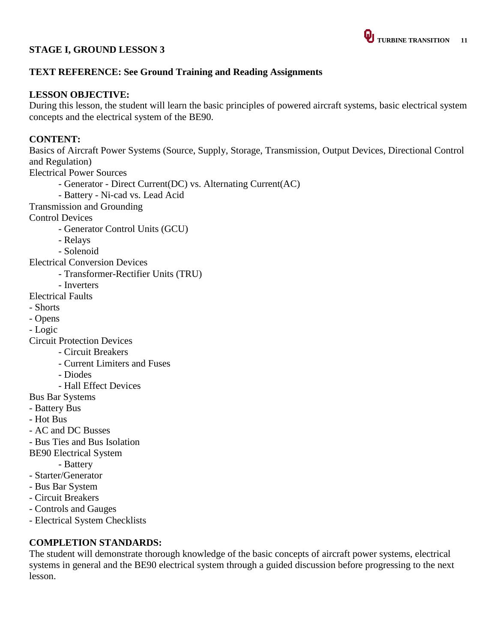#### **TEXT REFERENCE: See Ground Training and Reading Assignments**

#### **LESSON OBJECTIVE:**

During this lesson, the student will learn the basic principles of powered aircraft systems, basic electrical system concepts and the electrical system of the BE90.

#### **CONTENT:**

Basics of Aircraft Power Systems (Source, Supply, Storage, Transmission, Output Devices, Directional Control and Regulation)

Electrical Power Sources

- Generator - Direct Current(DC) vs. Alternating Current(AC)

- Battery - Ni-cad vs. Lead Acid

Transmission and Grounding

Control Devices

- Generator Control Units (GCU)

- Relays

- Solenoid

Electrical Conversion Devices

- Transformer-Rectifier Units (TRU)

- Inverters

Electrical Faults

- Shorts

- Opens

- Logic

Circuit Protection Devices

- Circuit Breakers
- Current Limiters and Fuses
- Diodes
- Hall Effect Devices

Bus Bar Systems

- Battery Bus

- Hot Bus

- AC and DC Busses

- Bus Ties and Bus Isolation

BE90 Electrical System

- Battery

- Starter/Generator

- Bus Bar System

- Circuit Breakers

- Controls and Gauges

- Electrical System Checklists

#### **COMPLETION STANDARDS:**

The student will demonstrate thorough knowledge of the basic concepts of aircraft power systems, electrical systems in general and the BE90 electrical system through a guided discussion before progressing to the next lesson.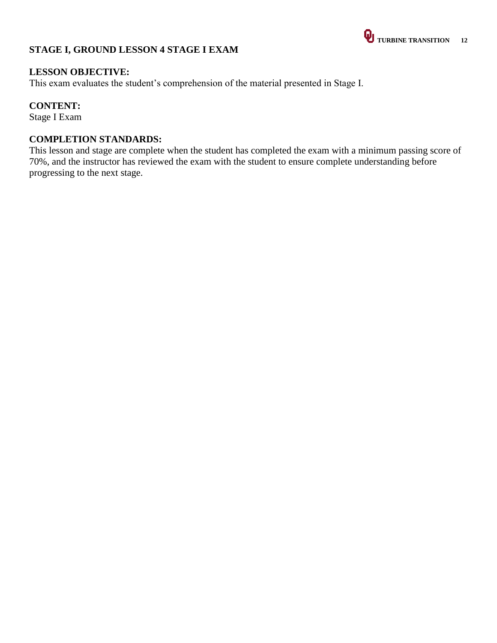#### **STAGE I, GROUND LESSON 4 STAGE I EXAM**

#### **LESSON OBJECTIVE:**

This exam evaluates the student's comprehension of the material presented in Stage I.

#### **CONTENT:**

Stage I Exam

#### **COMPLETION STANDARDS:**

This lesson and stage are complete when the student has completed the exam with a minimum passing score of 70%, and the instructor has reviewed the exam with the student to ensure complete understanding before progressing to the next stage.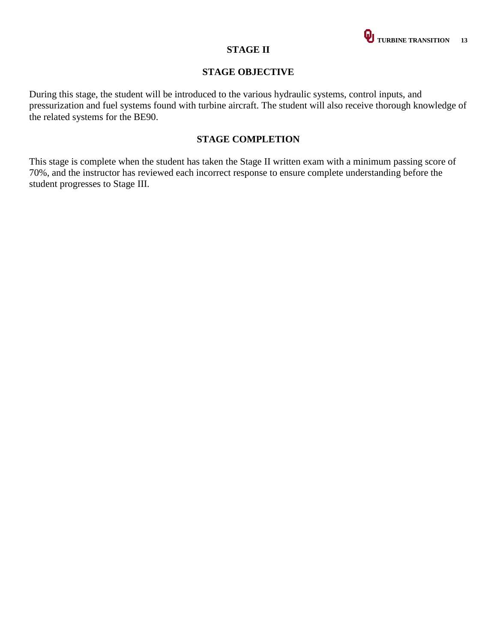

#### **STAGE II**

#### **STAGE OBJECTIVE**

During this stage, the student will be introduced to the various hydraulic systems, control inputs, and pressurization and fuel systems found with turbine aircraft. The student will also receive thorough knowledge of the related systems for the BE90.

### **STAGE COMPLETION**

This stage is complete when the student has taken the Stage II written exam with a minimum passing score of 70%, and the instructor has reviewed each incorrect response to ensure complete understanding before the student progresses to Stage III.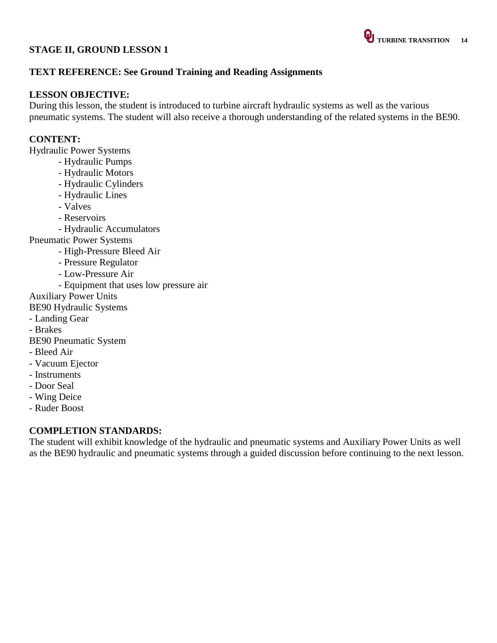#### **TEXT REFERENCE: See Ground Training and Reading Assignments**

#### **LESSON OBJECTIVE:**

During this lesson, the student is introduced to turbine aircraft hydraulic systems as well as the various pneumatic systems. The student will also receive a thorough understanding of the related systems in the BE90.

#### **CONTENT:**

Hydraulic Power Systems

- Hydraulic Pumps
- Hydraulic Motors
- Hydraulic Cylinders
- Hydraulic Lines
- Valves
- Reservoirs
- Hydraulic Accumulators

Pneumatic Power Systems

- High-Pressure Bleed Air
- Pressure Regulator
- Low-Pressure Air
- Equipment that uses low pressure air
- Auxiliary Power Units
- BE90 Hydraulic Systems
- Landing Gear
- Brakes
- BE90 Pneumatic System
- Bleed Air
- Vacuum Ejector
- Instruments
- Door Seal
- Wing Deice
- Ruder Boost

#### **COMPLETION STANDARDS:**

The student will exhibit knowledge of the hydraulic and pneumatic systems and Auxiliary Power Units as well as the BE90 hydraulic and pneumatic systems through a guided discussion before continuing to the next lesson.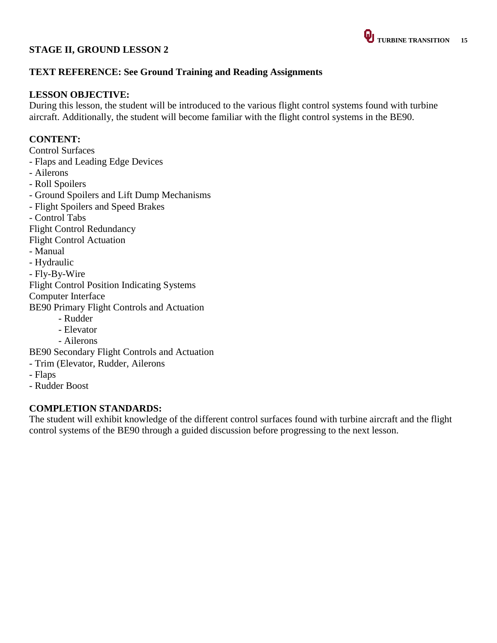#### **TEXT REFERENCE: See Ground Training and Reading Assignments**

#### **LESSON OBJECTIVE:**

During this lesson, the student will be introduced to the various flight control systems found with turbine aircraft. Additionally, the student will become familiar with the flight control systems in the BE90.

#### **CONTENT:**

Control Surfaces

- Flaps and Leading Edge Devices
- Ailerons
- Roll Spoilers
- Ground Spoilers and Lift Dump Mechanisms
- Flight Spoilers and Speed Brakes
- Control Tabs

Flight Control Redundancy

- Flight Control Actuation
- Manual

- Hydraulic

- Fly-By-Wire

Flight Control Position Indicating Systems

Computer Interface

BE90 Primary Flight Controls and Actuation

- Rudder
- Elevator
- Ailerons

BE90 Secondary Flight Controls and Actuation

- Trim (Elevator, Rudder, Ailerons
- Flaps
- Rudder Boost

#### **COMPLETION STANDARDS:**

The student will exhibit knowledge of the different control surfaces found with turbine aircraft and the flight control systems of the BE90 through a guided discussion before progressing to the next lesson.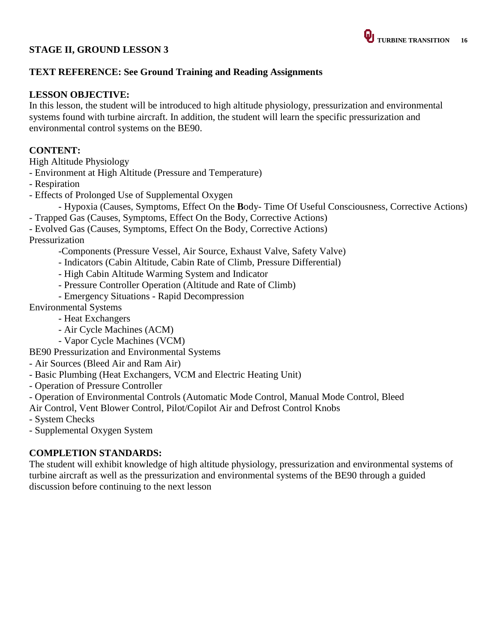# **TEXT REFERENCE: See Ground Training and Reading Assignments**

#### **LESSON OBJECTIVE:**

In this lesson, the student will be introduced to high altitude physiology, pressurization and environmental systems found with turbine aircraft. In addition, the student will learn the specific pressurization and environmental control systems on the BE90.

#### **CONTENT:**

High Altitude Physiology

- Environment at High Altitude (Pressure and Temperature)
- Respiration
- Effects of Prolonged Use of Supplemental Oxygen
	- Hypoxia (Causes, Symptoms, Effect On the **B**ody- Time Of Useful Consciousness, Corrective Actions)
- Trapped Gas (Causes, Symptoms, Effect On the Body, Corrective Actions)
- Evolved Gas (Causes, Symptoms, Effect On the Body, Corrective Actions)

#### Pressurization

- -Components (Pressure Vessel, Air Source, Exhaust Valve, Safety Valve)
- Indicators (Cabin Altitude, Cabin Rate of Climb, Pressure Differential)
- High Cabin Altitude Warming System and Indicator
- Pressure Controller Operation (Altitude and Rate of Climb)
- Emergency Situations Rapid Decompression
- Environmental Systems
	- Heat Exchangers
	- Air Cycle Machines (ACM)
	- Vapor Cycle Machines (VCM)
- BE90 Pressurization and Environmental Systems
- Air Sources (Bleed Air and Ram Air)
- Basic Plumbing (Heat Exchangers, VCM and Electric Heating Unit)
- Operation of Pressure Controller
- Operation of Environmental Controls (Automatic Mode Control, Manual Mode Control, Bleed
- Air Control, Vent Blower Control, Pilot/Copilot Air and Defrost Control Knobs
- System Checks
- Supplemental Oxygen System

#### **COMPLETION STANDARDS:**

The student will exhibit knowledge of high altitude physiology, pressurization and environmental systems of turbine aircraft as well as the pressurization and environmental systems of the BE90 through a guided discussion before continuing to the next lesson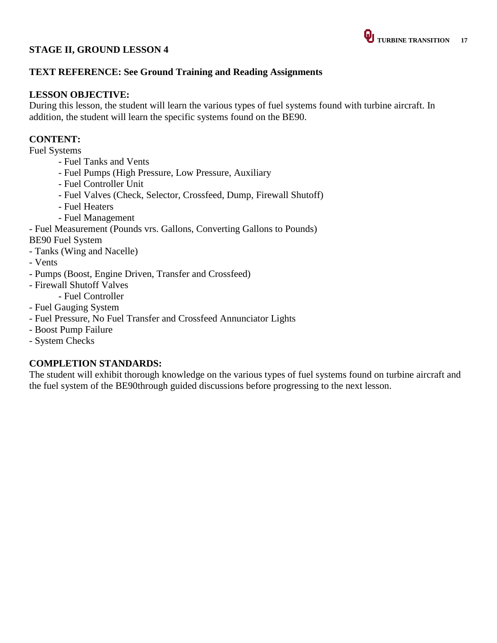# **TEXT REFERENCE: See Ground Training and Reading Assignments**

#### **LESSON OBJECTIVE:**

During this lesson, the student will learn the various types of fuel systems found with turbine aircraft. In addition, the student will learn the specific systems found on the BE90.

#### **CONTENT:**

Fuel Systems

- Fuel Tanks and Vents
- Fuel Pumps (High Pressure, Low Pressure, Auxiliary
- Fuel Controller Unit
- Fuel Valves (Check, Selector, Crossfeed, Dump, Firewall Shutoff)
- Fuel Heaters
- Fuel Management
- Fuel Measurement (Pounds vrs. Gallons, Converting Gallons to Pounds)
- BE90 Fuel System
- Tanks (Wing and Nacelle)
- Vents
- Pumps (Boost, Engine Driven, Transfer and Crossfeed)
- Firewall Shutoff Valves
	- Fuel Controller
- Fuel Gauging System
- Fuel Pressure, No Fuel Transfer and Crossfeed Annunciator Lights
- Boost Pump Failure
- System Checks

#### **COMPLETION STANDARDS:**

The student will exhibit thorough knowledge on the various types of fuel systems found on turbine aircraft and the fuel system of the BE90through guided discussions before progressing to the next lesson.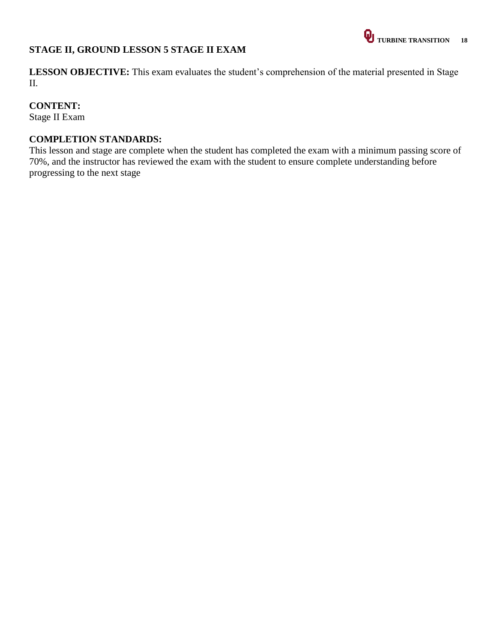# **STAGE II, GROUND LESSON 5 STAGE II EXAM**

LESSON OBJECTIVE: This exam evaluates the student's comprehension of the material presented in Stage II.

#### **CONTENT:**

Stage II Exam

# **COMPLETION STANDARDS:**

This lesson and stage are complete when the student has completed the exam with a minimum passing score of 70%, and the instructor has reviewed the exam with the student to ensure complete understanding before progressing to the next stage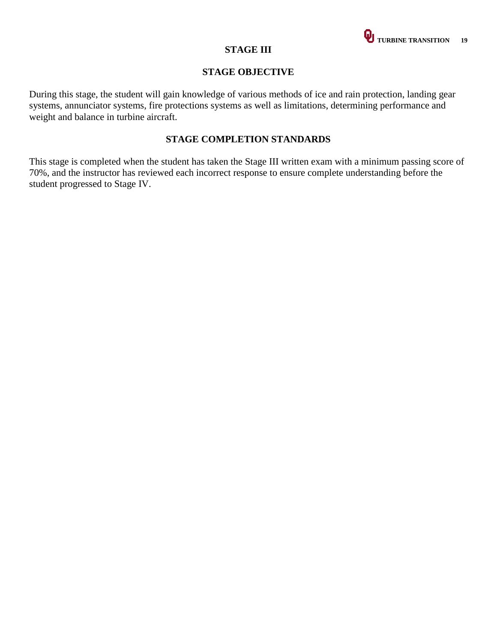

#### **STAGE III**

#### **STAGE OBJECTIVE**

During this stage, the student will gain knowledge of various methods of ice and rain protection, landing gear systems, annunciator systems, fire protections systems as well as limitations, determining performance and weight and balance in turbine aircraft.

#### **STAGE COMPLETION STANDARDS**

This stage is completed when the student has taken the Stage III written exam with a minimum passing score of 70%, and the instructor has reviewed each incorrect response to ensure complete understanding before the student progressed to Stage IV.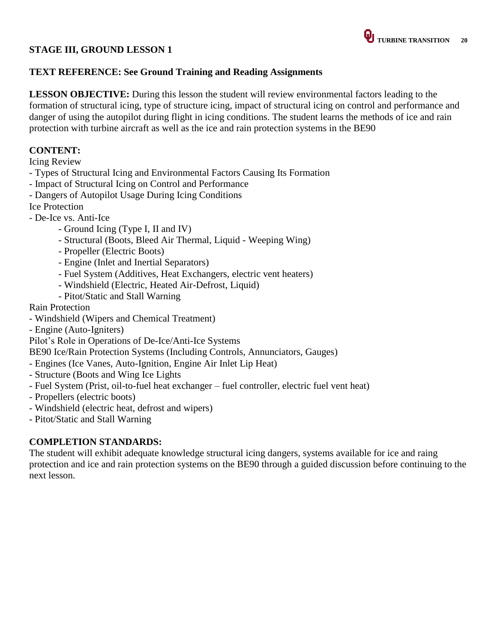#### **TEXT REFERENCE: See Ground Training and Reading Assignments**

**LESSON OBJECTIVE:** During this lesson the student will review environmental factors leading to the formation of structural icing, type of structure icing, impact of structural icing on control and performance and danger of using the autopilot during flight in icing conditions. The student learns the methods of ice and rain protection with turbine aircraft as well as the ice and rain protection systems in the BE90

#### **CONTENT:**

Icing Review

- Types of Structural Icing and Environmental Factors Causing Its Formation
- Impact of Structural Icing on Control and Performance
- Dangers of Autopilot Usage During Icing Conditions

Ice Protection

- De-Ice vs. Anti-Ice
	- Ground Icing (Type I, II and IV)
	- Structural (Boots, Bleed Air Thermal, Liquid Weeping Wing)
	- Propeller (Electric Boots)
	- Engine (Inlet and Inertial Separators)
	- Fuel System (Additives, Heat Exchangers, electric vent heaters)
	- Windshield (Electric, Heated Air-Defrost, Liquid)
	- Pitot/Static and Stall Warning
- Rain Protection
- Windshield (Wipers and Chemical Treatment)
- Engine (Auto-Igniters)

Pilot's Role in Operations of De-Ice/Anti-Ice Systems

BE90 Ice/Rain Protection Systems (Including Controls, Annunciators, Gauges)

- Engines (Ice Vanes, Auto-Ignition, Engine Air Inlet Lip Heat)
- Structure (Boots and Wing Ice Lights
- Fuel System (Prist, oil-to-fuel heat exchanger fuel controller, electric fuel vent heat)
- Propellers (electric boots)
- Windshield (electric heat, defrost and wipers)
- Pitot/Static and Stall Warning

#### **COMPLETION STANDARDS:**

The student will exhibit adequate knowledge structural icing dangers, systems available for ice and raing protection and ice and rain protection systems on the BE90 through a guided discussion before continuing to the next lesson.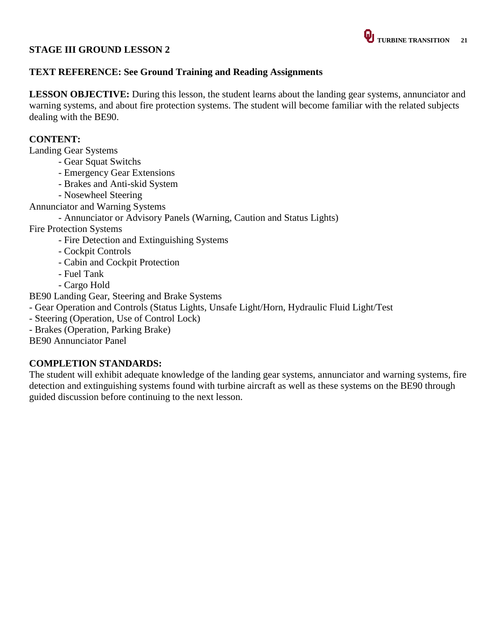#### **TEXT REFERENCE: See Ground Training and Reading Assignments**

**LESSON OBJECTIVE:** During this lesson, the student learns about the landing gear systems, annunciator and warning systems, and about fire protection systems. The student will become familiar with the related subjects dealing with the BE90.

#### **CONTENT:**

Landing Gear Systems

- Gear Squat Switchs
- Emergency Gear Extensions
- Brakes and Anti-skid System
- Nosewheel Steering

Annunciator and Warning Systems

- Annunciator or Advisory Panels (Warning, Caution and Status Lights)

Fire Protection Systems

- Fire Detection and Extinguishing Systems
- Cockpit Controls
- Cabin and Cockpit Protection
- Fuel Tank
- Cargo Hold

BE90 Landing Gear, Steering and Brake Systems

- Gear Operation and Controls (Status Lights, Unsafe Light/Horn, Hydraulic Fluid Light/Test

- Steering (Operation, Use of Control Lock)
- Brakes (Operation, Parking Brake)

BE90 Annunciator Panel

#### **COMPLETION STANDARDS:**

The student will exhibit adequate knowledge of the landing gear systems, annunciator and warning systems, fire detection and extinguishing systems found with turbine aircraft as well as these systems on the BE90 through guided discussion before continuing to the next lesson.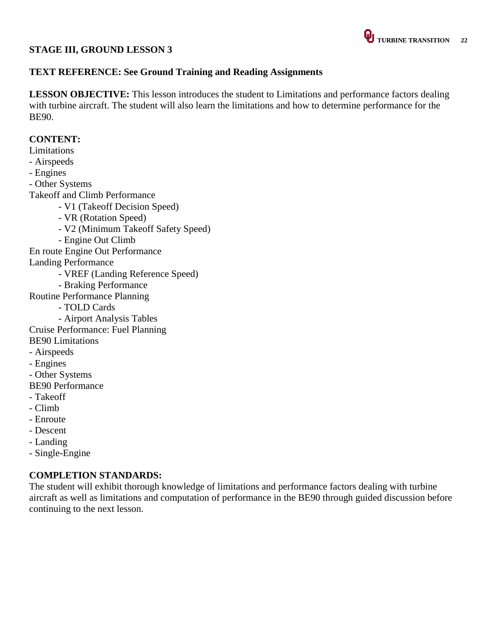#### **TEXT REFERENCE: See Ground Training and Reading Assignments**

**LESSON OBJECTIVE:** This lesson introduces the student to Limitations and performance factors dealing with turbine aircraft. The student will also learn the limitations and how to determine performance for the BE90.

#### **CONTENT:**

Limitations

- Airspeeds

- Engines

- Other Systems

Takeoff and Climb Performance

- V1 (Takeoff Decision Speed)
- VR (Rotation Speed)
- V2 (Minimum Takeoff Safety Speed)
- Engine Out Climb
- En route Engine Out Performance

Landing Performance

- VREF (Landing Reference Speed)
- Braking Performance

Routine Performance Planning

- TOLD Cards

- Airport Analysis Tables

Cruise Performance: Fuel Planning

BE90 Limitations

- Airspeeds
- Engines
- Other Systems
- BE90 Performance
- Takeoff
- Climb
- Enroute
- Descent
- Landing
- Single-Engine

#### **COMPLETION STANDARDS:**

The student will exhibit thorough knowledge of limitations and performance factors dealing with turbine aircraft as well as limitations and computation of performance in the BE90 through guided discussion before continuing to the next lesson.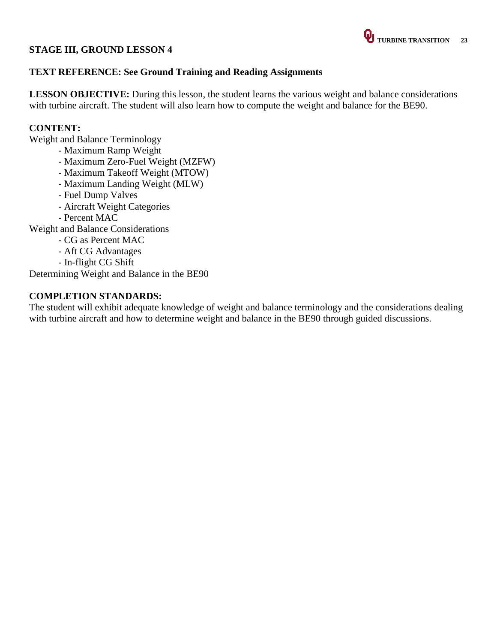#### **TEXT REFERENCE: See Ground Training and Reading Assignments**

**LESSON OBJECTIVE:** During this lesson, the student learns the various weight and balance considerations with turbine aircraft. The student will also learn how to compute the weight and balance for the BE90.

#### **CONTENT:**

Weight and Balance Terminology

- Maximum Ramp Weight
- Maximum Zero-Fuel Weight (MZFW)
- Maximum Takeoff Weight (MTOW)
- Maximum Landing Weight (MLW)
- Fuel Dump Valves
- Aircraft Weight Categories
- Percent MAC

Weight and Balance Considerations

- CG as Percent MAC
- Aft CG Advantages
- In-flight CG Shift

Determining Weight and Balance in the BE90

#### **COMPLETION STANDARDS:**

The student will exhibit adequate knowledge of weight and balance terminology and the considerations dealing with turbine aircraft and how to determine weight and balance in the BE90 through guided discussions.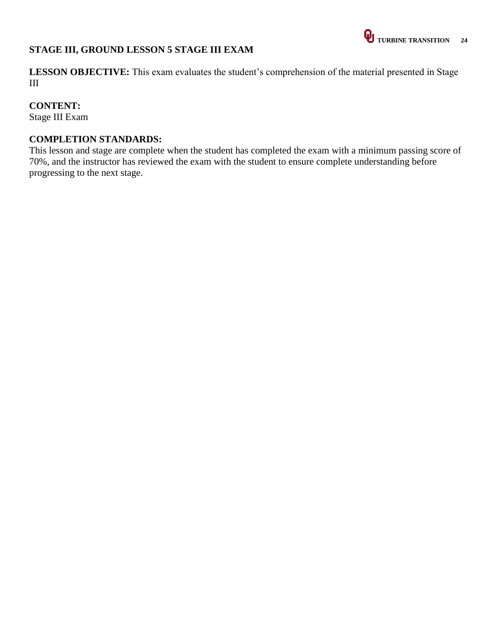# **STAGE III, GROUND LESSON 5 STAGE III EXAM**

LESSON OBJECTIVE: This exam evaluates the student's comprehension of the material presented in Stage III

#### **CONTENT:**

Stage III Exam

### **COMPLETION STANDARDS:**

This lesson and stage are complete when the student has completed the exam with a minimum passing score of 70%, and the instructor has reviewed the exam with the student to ensure complete understanding before progressing to the next stage.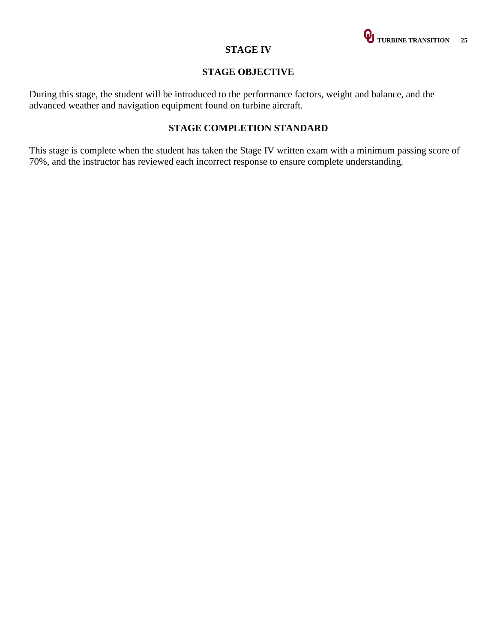

#### **STAGE IV**

# **STAGE OBJECTIVE**

During this stage, the student will be introduced to the performance factors, weight and balance, and the advanced weather and navigation equipment found on turbine aircraft.

#### **STAGE COMPLETION STANDARD**

This stage is complete when the student has taken the Stage IV written exam with a minimum passing score of 70%, and the instructor has reviewed each incorrect response to ensure complete understanding.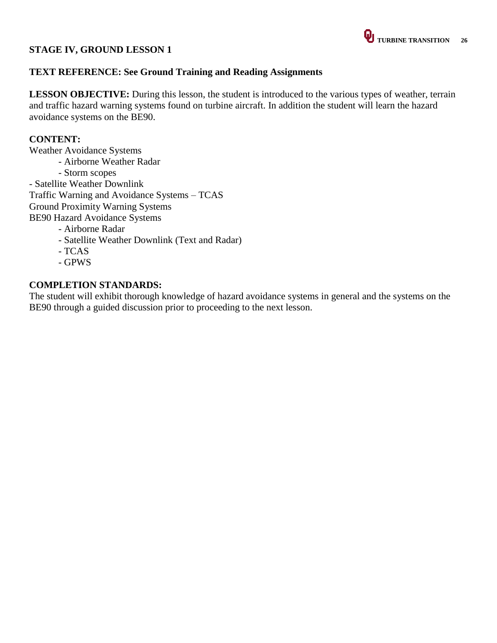#### **TEXT REFERENCE: See Ground Training and Reading Assignments**

**LESSON OBJECTIVE:** During this lesson, the student is introduced to the various types of weather, terrain and traffic hazard warning systems found on turbine aircraft. In addition the student will learn the hazard avoidance systems on the BE90.

#### **CONTENT:**

Weather Avoidance Systems - Airborne Weather Radar - Storm scopes - Satellite Weather Downlink Traffic Warning and Avoidance Systems – TCAS Ground Proximity Warning Systems BE90 Hazard Avoidance Systems

- Airborne Radar

- Satellite Weather Downlink (Text and Radar)

- TCAS
- GPWS

#### **COMPLETION STANDARDS:**

The student will exhibit thorough knowledge of hazard avoidance systems in general and the systems on the BE90 through a guided discussion prior to proceeding to the next lesson.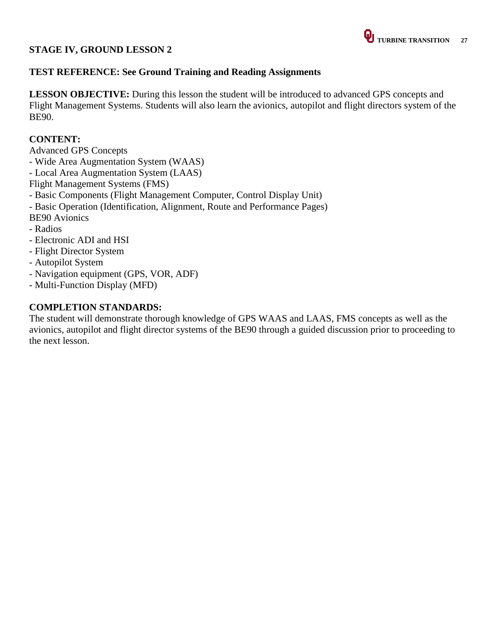#### **TEST REFERENCE: See Ground Training and Reading Assignments**

**LESSON OBJECTIVE:** During this lesson the student will be introduced to advanced GPS concepts and Flight Management Systems. Students will also learn the avionics, autopilot and flight directors system of the BE90.

#### **CONTENT:**

- Advanced GPS Concepts
- Wide Area Augmentation System (WAAS)
- Local Area Augmentation System (LAAS)
- Flight Management Systems (FMS)
- Basic Components (Flight Management Computer, Control Display Unit)
- Basic Operation (Identification, Alignment, Route and Performance Pages)
- BE90 Avionics
- Radios
- Electronic ADI and HSI
- Flight Director System
- Autopilot System
- Navigation equipment (GPS, VOR, ADF)
- Multi-Function Display (MFD)

#### **COMPLETION STANDARDS:**

The student will demonstrate thorough knowledge of GPS WAAS and LAAS, FMS concepts as well as the avionics, autopilot and flight director systems of the BE90 through a guided discussion prior to proceeding to the next lesson.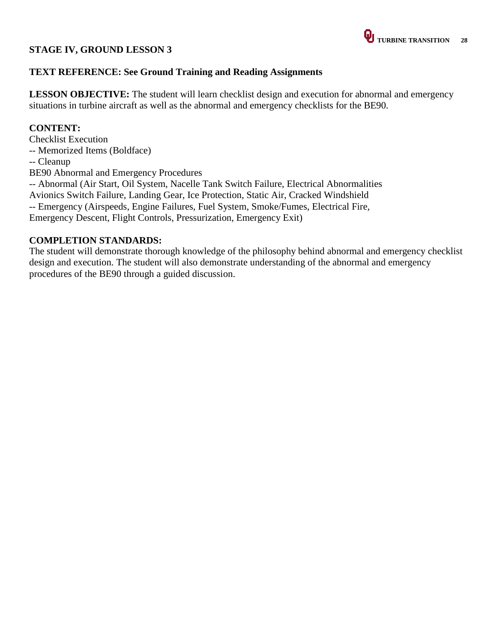#### **TEXT REFERENCE: See Ground Training and Reading Assignments**

**LESSON OBJECTIVE:** The student will learn checklist design and execution for abnormal and emergency situations in turbine aircraft as well as the abnormal and emergency checklists for the BE90.

#### **CONTENT:**

Checklist Execution -- Memorized Items (Boldface) -- Cleanup BE90 Abnormal and Emergency Procedures -- Abnormal (Air Start, Oil System, Nacelle Tank Switch Failure, Electrical Abnormalities Avionics Switch Failure, Landing Gear, Ice Protection, Static Air, Cracked Windshield -- Emergency (Airspeeds, Engine Failures, Fuel System, Smoke/Fumes, Electrical Fire, Emergency Descent, Flight Controls, Pressurization, Emergency Exit)

#### **COMPLETION STANDARDS:**

The student will demonstrate thorough knowledge of the philosophy behind abnormal and emergency checklist design and execution. The student will also demonstrate understanding of the abnormal and emergency procedures of the BE90 through a guided discussion.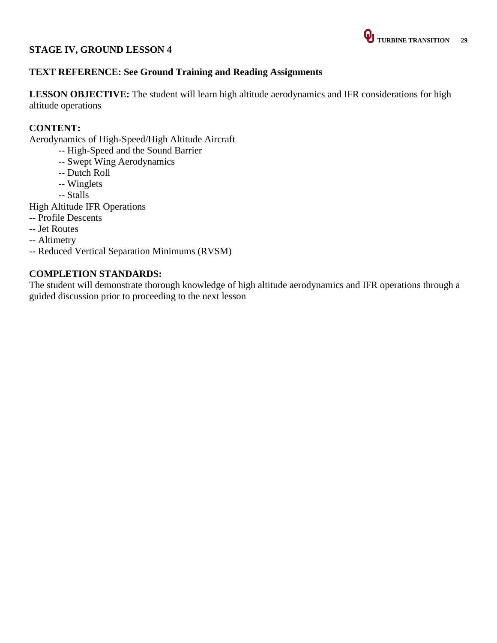#### **TEXT REFERENCE: See Ground Training and Reading Assignments**

**LESSON OBJECTIVE:** The student will learn high altitude aerodynamics and IFR considerations for high altitude operations

#### **CONTENT:**

Aerodynamics of High-Speed/High Altitude Aircraft

- -- High-Speed and the Sound Barrier
- -- Swept Wing Aerodynamics
- -- Dutch Roll
- -- Winglets
- -- Stalls

High Altitude IFR Operations

- -- Profile Descents
- -- Jet Routes
- -- Altimetry
- -- Reduced Vertical Separation Minimums (RVSM)

# **COMPLETION STANDARDS:**

The student will demonstrate thorough knowledge of high altitude aerodynamics and IFR operations through a guided discussion prior to proceeding to the next lesson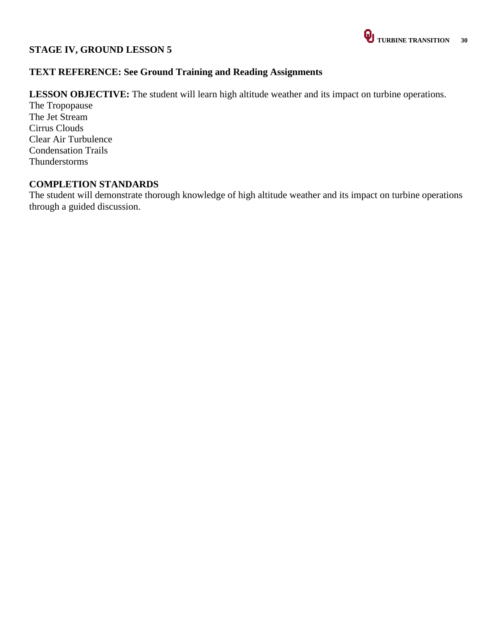## **TEXT REFERENCE: See Ground Training and Reading Assignments**

**LESSON OBJECTIVE:** The student will learn high altitude weather and its impact on turbine operations.

The Tropopause The Jet Stream Cirrus Clouds Clear Air Turbulence Condensation Trails Thunderstorms

#### **COMPLETION STANDARDS**

The student will demonstrate thorough knowledge of high altitude weather and its impact on turbine operations through a guided discussion.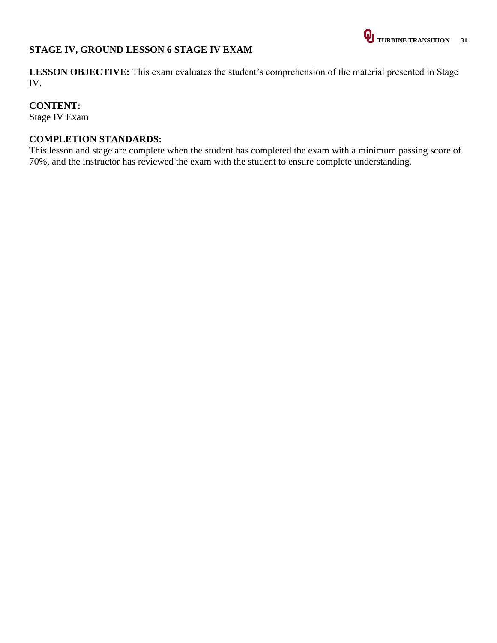# **STAGE IV, GROUND LESSON 6 STAGE IV EXAM**

**LESSON OBJECTIVE:** This exam evaluates the student's comprehension of the material presented in Stage IV.

# **CONTENT:**

Stage IV Exam

#### **COMPLETION STANDARDS:**

This lesson and stage are complete when the student has completed the exam with a minimum passing score of 70%, and the instructor has reviewed the exam with the student to ensure complete understanding.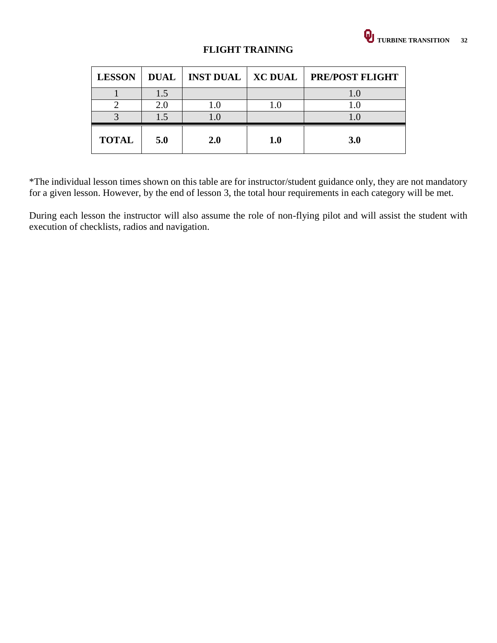| <b>LESSON</b> |     |            |     | DUAL   INST DUAL   XC DUAL   PRE/POST FLIGHT |
|---------------|-----|------------|-----|----------------------------------------------|
|               |     |            |     |                                              |
|               |     |            |     |                                              |
|               |     |            |     |                                              |
| <b>TOTAL</b>  | 5.0 | <b>2.0</b> | 1.0 | <b>3.0</b>                                   |

# **FLIGHT TRAINING**

\*The individual lesson times shown on this table are for instructor/student guidance only, they are not mandatory for a given lesson. However, by the end of lesson 3, the total hour requirements in each category will be met.

During each lesson the instructor will also assume the role of non-flying pilot and will assist the student with execution of checklists, radios and navigation.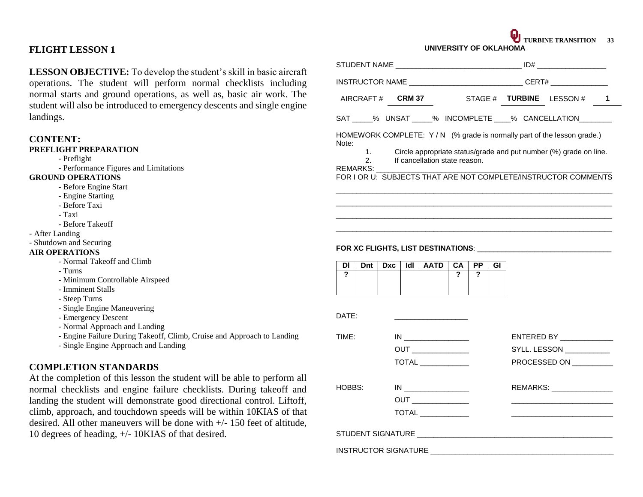#### **FLIGHT LESSON 1**

**LESSON OBJECTIVE:** To develop the student's skill in basic aircraft operations. The student will perform normal checklists including normal starts and ground operations, as well as, basic air work. The student will also be introduced to emergency descents and single engine landings.

#### **CONTENT:**

#### **PREFLIGHT PREPARATION**

- Preflight

- Performance Figures and Limitations

#### **GROUND OPERATIONS**

- Before Engine Start
- Engine Starting
- Before Taxi
- Taxi
- Before Takeoff
- After Landing
- Shutdown and Securing

#### **AIR OPERATIONS**

- Normal Takeoff and Climb
- Turns
- Minimum Controllable Airspeed
- Imminent Stalls
- Steep Turns
- Single Engine Maneuvering
- Emergency Descent
- Normal Approach and Landing
- Engine Failure During Takeoff, Climb, Cruise and Approach to Landing
- Single Engine Approach and Landing

#### **COMPLETION STANDARDS**

At the completion of this lesson the student will be able to perform all normal checklists and engine failure checklists. During takeoff and landing the student will demonstrate good directional control. Liftoff, climb, approach, and touchdown speeds will be within 10KIAS of that desired. All other maneuvers will be done with +/- 150 feet of altitude, 10 degrees of heading, +/- 10KIAS of that desired.

|        |                                  |                  |                                                                                  | UNIVERJII I UF UNLANUMA       |    |           |    |                                                                        |   |
|--------|----------------------------------|------------------|----------------------------------------------------------------------------------|-------------------------------|----|-----------|----|------------------------------------------------------------------------|---|
|        |                                  |                  |                                                                                  |                               |    |           |    |                                                                        |   |
|        |                                  |                  | INSTRUCTOR NAME ________________________________CERT# __________________________ |                               |    |           |    |                                                                        |   |
|        |                                  | AIRCRAFT# CRM 37 |                                                                                  |                               |    |           |    | STAGE # <b>TURBINE</b> LESSON #                                        | 1 |
|        |                                  |                  |                                                                                  |                               |    |           |    | SAT ____% UNSAT _____% INCOMPLETE ____% CANCELLATION________           |   |
| Note:  |                                  |                  |                                                                                  |                               |    |           |    | HOMEWORK COMPLETE: Y/N (% grade is normally part of the lesson grade.) |   |
|        | 1 <sub>1</sub><br>2.<br>REMARKS: |                  |                                                                                  | If cancellation state reason. |    |           |    | Circle appropriate status/grade and put number (%) grade on line.      |   |
|        |                                  |                  |                                                                                  |                               |    |           |    | FOR I OR U: SUBJECTS THAT ARE NOT COMPLETE/INSTRUCTOR COMMENTS         |   |
|        |                                  |                  |                                                                                  |                               |    |           |    |                                                                        |   |
|        |                                  |                  |                                                                                  |                               |    |           |    |                                                                        |   |
|        |                                  |                  |                                                                                  |                               |    |           |    |                                                                        |   |
|        |                                  |                  |                                                                                  |                               |    |           |    |                                                                        |   |
|        |                                  |                  |                                                                                  |                               |    |           |    |                                                                        |   |
|        |                                  |                  |                                                                                  |                               |    |           |    |                                                                        |   |
| DI     | <b>Dnt</b>                       | Dxc              | Idl                                                                              | <b>AATD</b>                   | CА | <b>PP</b> | GI |                                                                        |   |
| ?      |                                  |                  |                                                                                  |                               | ?  | ?         |    |                                                                        |   |
|        |                                  |                  |                                                                                  |                               |    |           |    |                                                                        |   |
|        |                                  |                  |                                                                                  |                               |    |           |    |                                                                        |   |
| DATE:  |                                  |                  |                                                                                  |                               |    |           |    |                                                                        |   |
| TIME:  |                                  |                  |                                                                                  |                               |    |           |    | ENTERED BY                                                             |   |
|        |                                  |                  |                                                                                  | <b>OUT</b>                    |    |           |    | SYLL. LESSON __________                                                |   |
|        |                                  |                  |                                                                                  | TOTAL ______________          |    |           |    | PROCESSED ON _________                                                 |   |
|        |                                  |                  |                                                                                  |                               |    |           |    |                                                                        |   |
| HOBBS: |                                  |                  |                                                                                  |                               |    |           |    | REMARKS: _______________                                               |   |
|        |                                  |                  |                                                                                  | OUT _______________           |    |           |    |                                                                        |   |
|        |                                  |                  |                                                                                  |                               |    |           |    |                                                                        |   |
|        |                                  |                  |                                                                                  |                               |    |           |    |                                                                        |   |
|        |                                  |                  |                                                                                  |                               |    |           |    |                                                                        |   |
|        |                                  |                  |                                                                                  |                               |    |           |    |                                                                        |   |

**UNIVERSITY OF OKLAHOMA**

**U** TURBINE TRANSITION 33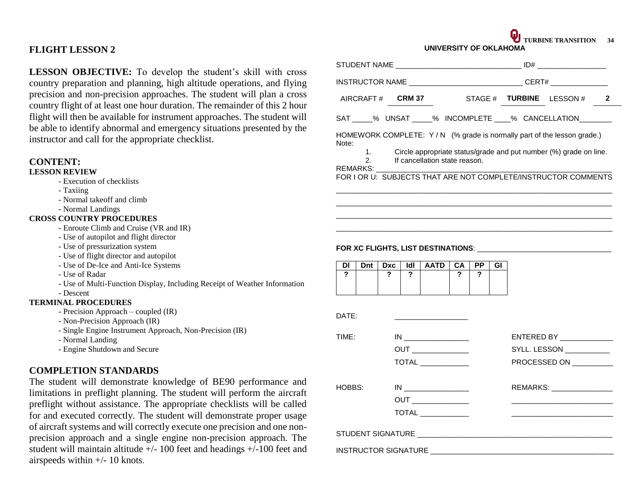#### **FLIGHT LESSON 2**

**LESSON OBJECTIVE:** To develop the student's skill with cross country preparation and planning, high altitude operations, and flying precision and non-precision approaches. The student will plan a cross country flight of at least one hour duration. The remainder of this 2 hour flight will then be available for instrument approaches. The student will be able to identify abnormal and emergency situations presented by the instructor and call for the appropriate checklist.

#### **CONTENT:**

#### **LESSON REVIEW**

- Execution of checklists
- Taxiing
- Normal takeoff and climb
- Normal Landings

#### **CROSS COUNTRY PROCEDURES**

- **-** Enroute Climb and Cruise (VR and IR)
- Use of autopilot and flight director
- Use of pressurization system
- Use of flight director and autopilot
- Use of De-Ice and Anti-Ice Systems
- Use of Radar
- Use of Multi-Function Display, Including Receipt of Weather Information
- **-** Descent

#### **TERMINAL PROCEDURES**

- **-** Precision Approach coupled (IR)
- Non-Precision Approach (IR)
- Single Engine Instrument Approach, Non-Precision (IR)
- Normal Landing
- Engine Shutdown and Secure

#### **COMPLETION STANDARDS**

The student will demonstrate knowledge of BE90 performance and limitations in preflight planning. The student will perform the aircraft preflight without assistance. The appropriate checklists will be called for and executed correctly. The student will demonstrate proper usage of aircraft systems and will correctly execute one precision and one nonprecision approach and a single engine non-precision approach. The student will maintain altitude +/- 100 feet and headings +/-100 feet and airspeeds within +/- 10 knots.

# **UNIVERSITY OF OKLAHOMA** STUDENT NAME \_\_\_\_\_\_\_\_\_\_\_\_\_\_\_\_\_\_\_\_\_\_\_\_\_\_\_\_\_\_\_ ID# \_\_\_\_\_\_\_\_\_\_\_\_\_\_\_\_\_ INSTRUCTOR NAME \_\_\_\_\_\_\_\_\_\_\_\_\_\_\_\_\_\_\_\_\_\_\_\_\_\_\_\_\_\_\_CERT# \_\_\_\_\_\_\_\_\_\_\_\_\_\_\_\_\_\_\_\_\_\_\_\_\_\_\_ AIRCRAFT # **CRM 37** STAGE # **TURBINE** LESSON # **2** SAT \_\_\_% UNSAT \_\_\_% INCOMPLETE \_\_\_% CANCELLATION HOMEWORK COMPLETE: Y/N (% grade is normally part of the lesson grade.) Note: 1. Circle appropriate status/grade and put number (%) grade on line.<br>2. If cancellation state reason. If cancellation state reason. REMARKS: FOR I OR U: SUBJECTS THAT ARE NOT COMPLETE/INSTRUCTOR COMMENTS  $\overline{a}$  , and the set of the set of the set of the set of the set of the set of the set of the set of the set of the set of the set of the set of the set of the set of the set of the set of the set of the set of the set  $\overline{a}$  , and the set of the set of the set of the set of the set of the set of the set of the set of the set of the set of the set of the set of the set of the set of the set of the set of the set of the set of the set  $\overline{a}$  , and the set of the set of the set of the set of the set of the set of the set of the set of the set of the set of the set of the set of the set of the set of the set of the set of the set of the set of the set  $\overline{a}$  , and the state of the state of the state of the state of the state of the state of the state of the state of the state of the state of the state of the state of the state of the state of the state of the state o FOR XC FLIGHTS, LIST DESTINATIONS: **We are also asset to the contract of the contract of the contract of the contract of the contract of the contract of the contract of the contract of the contract of the contract of the c Dl Dnt Dxc Idl AATD CA PP GI ? ? ? ? ?**  $DATF$ TIME: IN TIME ENTERED BY OUT \_\_\_\_\_\_\_\_\_\_\_\_\_\_ SYLL. LESSON \_\_\_\_\_\_\_\_\_\_\_ TOTAL \_\_\_\_\_\_\_\_\_\_\_\_ PROCESSED ON \_\_\_\_\_\_\_\_\_\_ HOBBS: IN \_\_\_\_\_\_\_\_\_\_\_\_\_\_\_\_ REMARKS: \_\_\_\_\_\_\_\_\_\_\_\_\_\_\_ OUT \_\_\_\_\_\_\_\_\_\_\_\_\_\_ \_\_\_\_\_\_\_\_\_\_\_\_\_\_\_\_\_\_\_\_\_\_\_\_\_ TOTAL \_\_\_\_\_\_\_\_\_\_\_\_ \_\_\_\_\_\_\_\_\_\_\_\_\_\_\_\_\_\_\_\_\_\_\_\_\_ STUDENT SIGNATURE \_\_\_\_\_\_\_\_\_\_\_\_\_\_\_\_\_\_\_\_\_\_\_\_\_\_\_\_\_\_\_\_\_\_\_\_\_\_\_\_\_\_\_\_\_\_\_\_ INSTRUCTOR SIGNATURE

*TURBINE TRANSITION* 34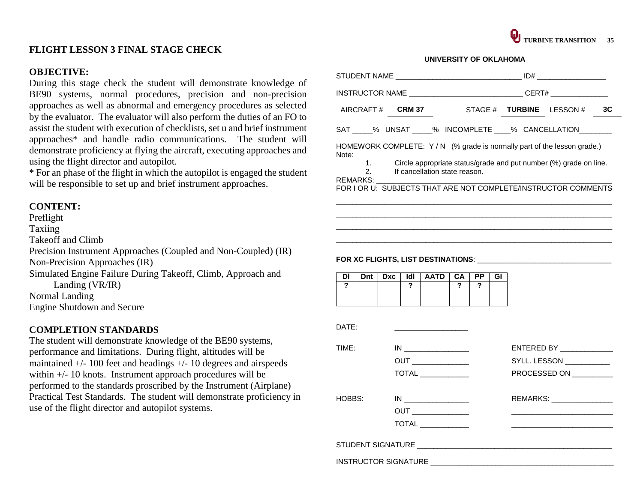#### **FLIGHT LESSON 3 FINAL STAGE CHECK**

#### **OBJECTIVE:**

During this stage check the student will demonstrate knowledge of BE90 systems, normal procedures, precision and non-precision approaches as well as abnormal and emergency procedures as selected by the evaluator. The evaluator will also perform the duties of an FO to assist the student with execution of checklists, set u and brief instrument approaches\* and handle radio communications. The student will demonstrate proficiency at flying the aircraft, executing approaches and using the flight director and autopilot.

\* For an phase of the flight in which the autopilot is engaged the student will be responsible to set up and brief instrument approaches.

#### **CONTENT:**

Preflight Taxiing Takeoff and Climb Precision Instrument Approaches (Coupled and Non-Coupled) (IR) Non-Precision Approaches (IR) Simulated Engine Failure During Takeoff, Climb, Approach and Landing (VR/IR) Normal Landing Engine Shutdown and Secure

#### **COMPLETION STANDARDS**

The student will demonstrate knowledge of the BE90 systems, performance and limitations. During flight, altitudes will be maintained +/- 100 feet and headings +/- 10 degrees and airspeeds within +/- 10 knots. Instrument approach procedures will be performed to the standards proscribed by the Instrument (Airplane) Practical Test Standards. The student will demonstrate proficiency in use of the flight director and autopilot systems.

# TURBINE TRANSITION 35 **UNIVERSITY OF OKLAHOMA** STUDENT NAME \_\_\_\_\_\_\_\_\_\_\_\_\_\_\_\_\_\_\_\_\_\_\_\_\_\_\_\_\_\_\_ ID# \_\_\_\_\_\_\_\_\_\_\_\_\_\_\_\_\_ INSTRUCTOR NAME \_\_\_\_\_\_\_\_\_\_\_\_\_\_\_\_\_\_\_\_\_\_\_\_\_\_\_\_\_\_\_\_\_\_CERT# \_\_\_\_\_\_\_\_\_\_\_\_\_\_\_\_\_\_\_\_\_\_\_\_ AIRCRAFT # **CRM 37** STAGE # **TURBINE** LESSON # **3C** SAT \_\_\_\_% UNSAT \_\_\_\_% INCOMPLETE \_\_\_% CANCELLATION\_\_\_\_\_\_\_ HOMEWORK COMPLETE: Y/N (% grade is normally part of the lesson grade.) Note: 1. Circle appropriate status/grade and put number (%) grade on line. 2. If cancellation state reason. REMARKS: FOR I OR U: SUBJECTS THAT ARE NOT COMPLETE/INSTRUCTOR COMMENTS  $\overline{a}$  , and the set of the set of the set of the set of the set of the set of the set of the set of the set of the set of the set of the set of the set of the set of the set of the set of the set of the set of the set  $\overline{a}$  , and the set of the set of the set of the set of the set of the set of the set of the set of the set of the set of the set of the set of the set of the set of the set of the set of the set of the set of the set  $\Box$  $\overline{a}$  , and the set of the set of the set of the set of the set of the set of the set of the set of the set of the set of the set of the set of the set of the set of the set of the set of the set of the set of the set **FOR XC FLIGHTS, LIST DESTINATIONS**: \_\_\_\_\_\_\_\_\_\_\_\_\_\_\_\_\_\_\_\_\_\_\_\_\_\_\_\_\_\_\_\_\_ **Dl Dnt Dxc Idl AATD CA PP GI ? ? ? ?** DATE: TIME: IN TIME: OUT \_\_\_\_\_\_\_\_\_\_\_\_\_\_ SYLL. LESSON \_\_\_\_\_\_\_\_\_\_\_ TOTAL \_\_\_\_\_\_\_\_\_\_\_\_ PROCESSED ON \_\_\_\_\_\_\_\_\_\_ HOBBS: IN \_\_\_\_\_\_\_\_\_\_\_\_\_\_\_\_ REMARKS: \_\_\_\_\_\_\_\_\_\_\_\_\_\_\_ OUT \_\_\_\_\_\_\_\_\_\_\_\_\_\_ \_\_\_\_\_\_\_\_\_\_\_\_\_\_\_\_\_\_\_\_\_\_\_\_\_  $\overline{0}$ STUDENT SIGNATURE \_\_\_\_\_\_\_\_\_\_\_\_\_\_\_\_\_\_\_\_\_\_\_\_\_\_\_\_\_\_\_\_\_\_\_\_\_\_\_\_\_\_\_\_\_\_\_\_ INSTRUCTOR SIGNATURE \_\_\_\_\_\_\_\_\_\_\_\_\_\_\_\_\_\_\_\_\_\_\_\_\_\_\_\_\_\_\_\_\_\_\_\_\_\_\_\_\_\_\_\_\_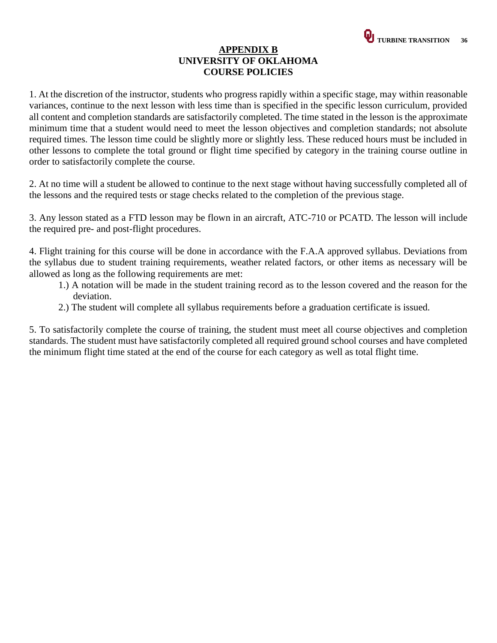#### **APPENDIX B UNIVERSITY OF OKLAHOMA COURSE POLICIES**

1. At the discretion of the instructor, students who progress rapidly within a specific stage, may within reasonable variances, continue to the next lesson with less time than is specified in the specific lesson curriculum, provided all content and completion standards are satisfactorily completed. The time stated in the lesson is the approximate minimum time that a student would need to meet the lesson objectives and completion standards; not absolute required times. The lesson time could be slightly more or slightly less. These reduced hours must be included in other lessons to complete the total ground or flight time specified by category in the training course outline in order to satisfactorily complete the course.

2. At no time will a student be allowed to continue to the next stage without having successfully completed all of the lessons and the required tests or stage checks related to the completion of the previous stage.

3. Any lesson stated as a FTD lesson may be flown in an aircraft, ATC-710 or PCATD. The lesson will include the required pre- and post-flight procedures.

4. Flight training for this course will be done in accordance with the F.A.A approved syllabus. Deviations from the syllabus due to student training requirements, weather related factors, or other items as necessary will be allowed as long as the following requirements are met:

- 1.) A notation will be made in the student training record as to the lesson covered and the reason for the deviation.
- 2.) The student will complete all syllabus requirements before a graduation certificate is issued.

5. To satisfactorily complete the course of training, the student must meet all course objectives and completion standards. The student must have satisfactorily completed all required ground school courses and have completed the minimum flight time stated at the end of the course for each category as well as total flight time.